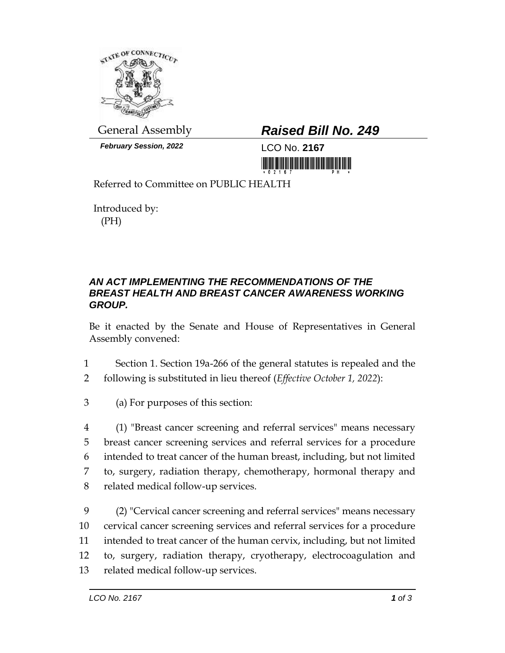

*February Session, 2022* LCO No. **2167**

## General Assembly *Raised Bill No. 249*

<u> III Marshall Marshall and Barbara and Barbara and Barbara and Barbara and Barbara and Barbara and Barbara and </u>

Referred to Committee on PUBLIC HEALTH

Introduced by: (PH)

## *AN ACT IMPLEMENTING THE RECOMMENDATIONS OF THE BREAST HEALTH AND BREAST CANCER AWARENESS WORKING GROUP.*

Be it enacted by the Senate and House of Representatives in General Assembly convened:

- 1 Section 1. Section 19a-266 of the general statutes is repealed and the
- 2 following is substituted in lieu thereof (*Effective October 1, 2022*):
- 3 (a) For purposes of this section:

 (1) "Breast cancer screening and referral services" means necessary breast cancer screening services and referral services for a procedure intended to treat cancer of the human breast, including, but not limited to, surgery, radiation therapy, chemotherapy, hormonal therapy and related medical follow-up services.

 (2) "Cervical cancer screening and referral services" means necessary cervical cancer screening services and referral services for a procedure intended to treat cancer of the human cervix, including, but not limited to, surgery, radiation therapy, cryotherapy, electrocoagulation and related medical follow-up services.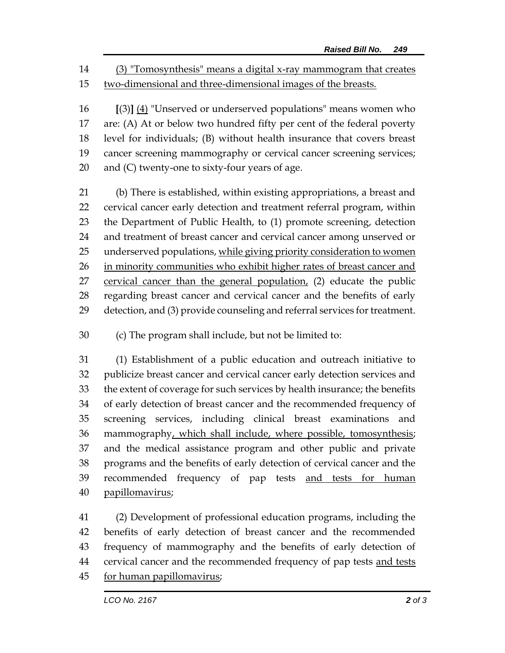(3) "Tomosynthesis" means a digital x-ray mammogram that creates two-dimensional and three-dimensional images of the breasts.

 **[**(3)**]** (4) "Unserved or underserved populations" means women who are: (A) At or below two hundred fifty per cent of the federal poverty level for individuals; (B) without health insurance that covers breast cancer screening mammography or cervical cancer screening services; and (C) twenty-one to sixty-four years of age.

 (b) There is established, within existing appropriations, a breast and cervical cancer early detection and treatment referral program, within the Department of Public Health, to (1) promote screening, detection and treatment of breast cancer and cervical cancer among unserved or underserved populations, while giving priority consideration to women in minority communities who exhibit higher rates of breast cancer and cervical cancer than the general population, (2) educate the public regarding breast cancer and cervical cancer and the benefits of early detection, and (3) provide counseling and referral services for treatment.

(c) The program shall include, but not be limited to:

 (1) Establishment of a public education and outreach initiative to publicize breast cancer and cervical cancer early detection services and the extent of coverage for such services by health insurance; the benefits of early detection of breast cancer and the recommended frequency of screening services, including clinical breast examinations and mammography, which shall include, where possible, tomosynthesis; and the medical assistance program and other public and private programs and the benefits of early detection of cervical cancer and the 39 recommended frequency of pap tests and tests for human papillomavirus;

 (2) Development of professional education programs, including the benefits of early detection of breast cancer and the recommended frequency of mammography and the benefits of early detection of 44 cervical cancer and the recommended frequency of pap tests and tests for human papillomavirus;